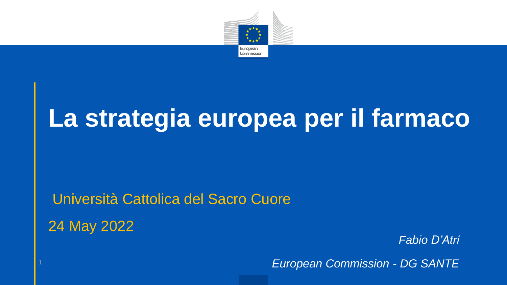

## **La strategia europea per il farmaco**

### Università Cattolica del Sacro Cuore 24 May 2022

*Fabio D'Atri*

<sup>1</sup> *European Commission - DG SANTE*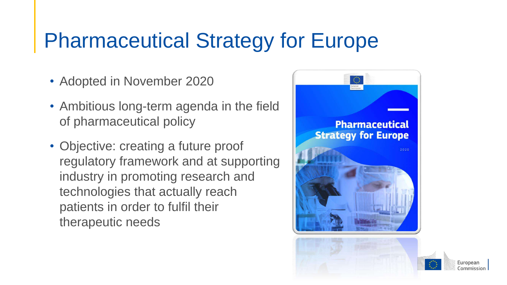### Pharmaceutical Strategy for Europe

- Adopted in November 2020
- Ambitious long-term agenda in the field of pharmaceutical policy
- Objective: creating a future proof regulatory framework and at supporting industry in promoting research and technologies that actually reach patients in order to fulfil their therapeutic needs

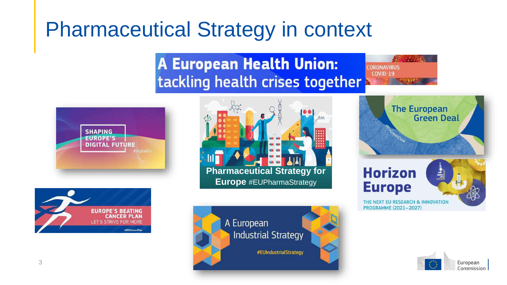### Pharmaceutical Strategy in context

### **A European Health Union:** tackling health crises together

**CORONAVIRUS COVID-19** 











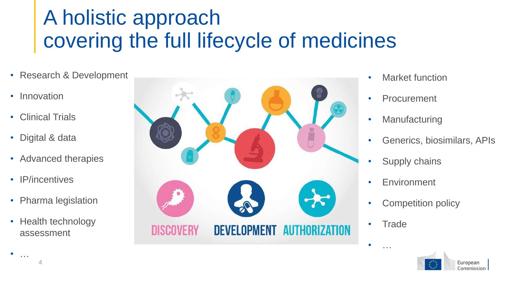### A holistic approach covering the full lifecycle of medicines

- Research & Development
- Innovation
- Clinical Trials
- Digital & data
- Advanced therapies
- IP/incentives

4

 $\bullet$  ...

- Pharma legislation
- Health technology assessment



- Market function
- Procurement
- Manufacturing
- Generics, biosimilars, APIs
- Supply chains
- Environment
- Competition policy
- Trade

 $\bullet$  ...

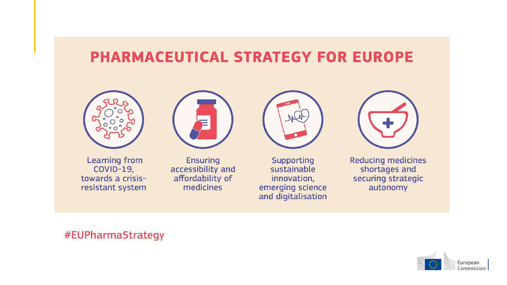### **PHARMACEUTICAL STRATEGY FOR EUROPE**



**Learning from COVID-19,** towards a crisisresistant system



**Ensuring** accessibility and affordability of medicines



**Supporting** sustainable innovation, emerging science and digitalisation

**Reducing medicines** shortages and securing strategic autonomy

#### #EUPharmaStrategy

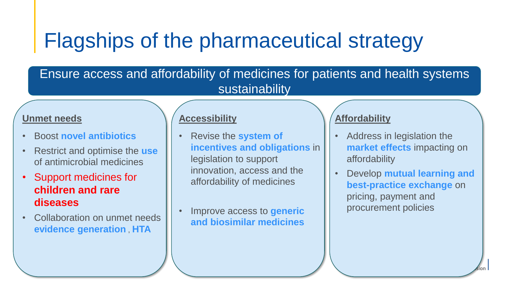### Flagships of the pharmaceutical strategy

#### Ensure access and affordability of medicines for patients and health systems sustainability

#### **Unmet needs**

- Boost **novel antibiotics**
- Restrict and optimise the **use** of antimicrobial medicines
- Support medicines for **children and rare diseases**
- Collaboration on unmet needs **evidence generation** , **HTA**

#### **Accessibility**

- Revise the **system of incentives and obligations** in legislation to support innovation, access and the affordability of medicines
- Improve access to **generic and biosimilar medicines**

#### **Affordability**

- Address in legislation the **market effects** impacting on affordability
- Develop **mutual learning and best-practice exchange** on pricing, payment and procurement policies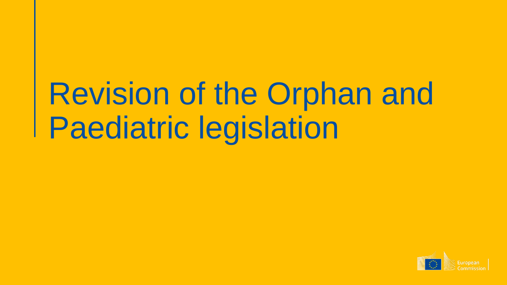# Revision of the Orphan and Paediatric legislation

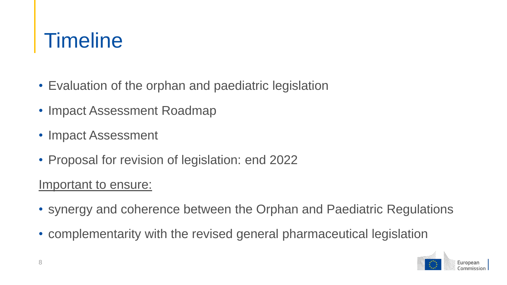### **Timeline**

- Evaluation of the orphan and paediatric legislation
- Impact Assessment Roadmap
- Impact Assessment
- Proposal for revision of legislation: end 2022

#### Important to ensure:

- synergy and coherence between the Orphan and Paediatric Regulations
- complementarity with the revised general pharmaceutical legislation

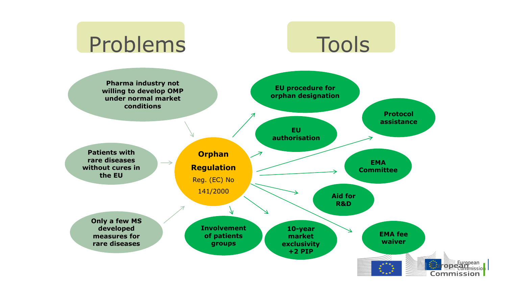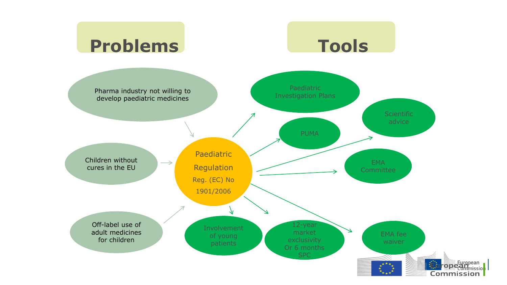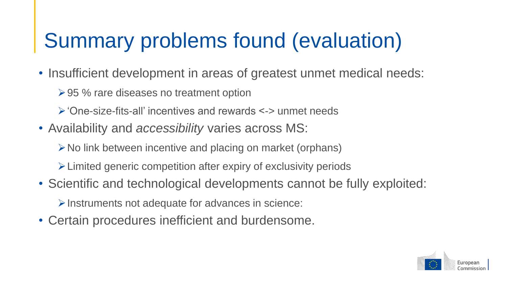## Summary problems found (evaluation)

- Insufficient development in areas of greatest unmet medical needs:
	- **≻95 % rare diseases no treatment option**
	- 'One-size-fits-all' incentives and rewards <-> unmet needs
- Availability and *accessibility* varies across MS:
	- $\triangleright$  No link between incentive and placing on market (orphans)
	- Limited generic competition after expiry of exclusivity periods
- Scientific and technological developments cannot be fully exploited:
	- $\triangleright$  Instruments not adequate for advances in science:
- Certain procedures inefficient and burdensome.

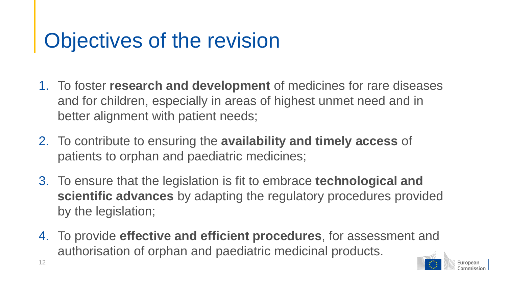## Objectives of the revision

- 1. To foster **research and development** of medicines for rare diseases and for children, especially in areas of highest unmet need and in better alignment with patient needs;
- 2. To contribute to ensuring the **availability and timely access** of patients to orphan and paediatric medicines;
- 3. To ensure that the legislation is fit to embrace **technological and scientific advances** by adapting the regulatory procedures provided by the legislation;
- 4. To provide **effective and efficient procedures**, for assessment and authorisation of orphan and paediatric medicinal products.

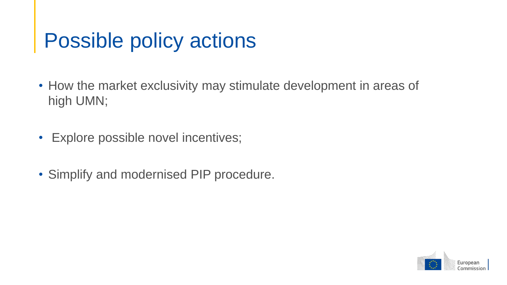### Possible policy actions

- How the market exclusivity may stimulate development in areas of high UMN;
- Explore possible novel incentives;
- Simplify and modernised PIP procedure.